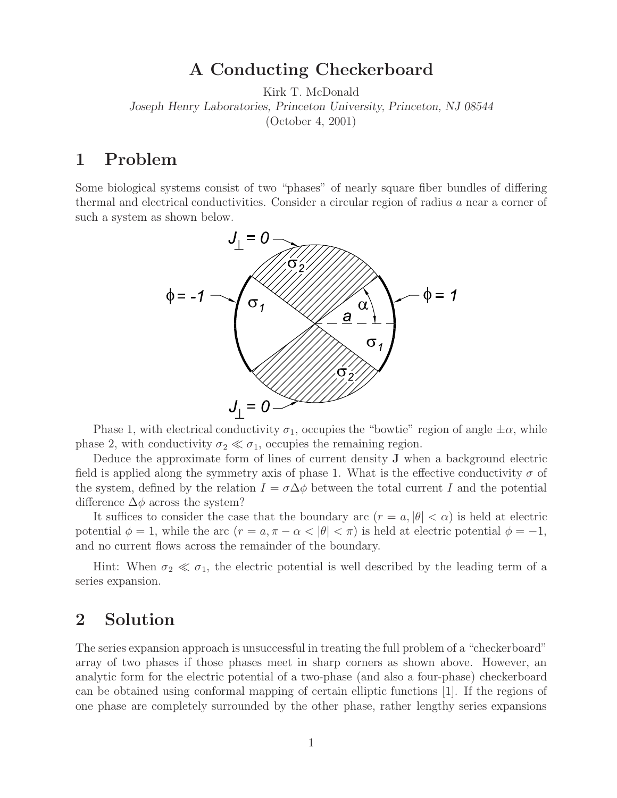## **A Conducting Checkerboard**

Kirk T. McDonald *Joseph Henry Laboratories, Princeton University, Princeton, NJ 08544* (October 4, 2001)

## **1 Problem**

Some biological systems consist of two "phases" of nearly square fiber bundles of differing thermal and electrical conductivities. Consider a circular region of radius a near a corner of such a system as shown below.



Phase 1, with electrical conductivity  $\sigma_1$ , occupies the "bowtie" region of angle  $\pm \alpha$ , while phase 2, with conductivity  $\sigma_2 \ll \sigma_1$ , occupies the remaining region.

Deduce the approximate form of lines of current density **J** when a background electric field is applied along the symmetry axis of phase 1. What is the effective conductivity  $\sigma$  of the system, defined by the relation  $I = \sigma \Delta \phi$  between the total current I and the potential difference  $\Delta\phi$  across the system?

It suffices to consider the case that the boundary arc  $(r = a, |\theta| < \alpha)$  is held at electric potential  $\phi = 1$ , while the arc  $(r = a, \pi - \alpha < |\theta| < \pi)$  is held at electric potential  $\phi = -1$ , and no current flows across the remainder of the boundary.

Hint: When  $\sigma_2 \ll \sigma_1$ , the electric potential is well described by the leading term of a series expansion.

## **2 Solution**

The series expansion approach is unsuccessful in treating the full problem of a "checkerboard" array of two phases if those phases meet in sharp corners as shown above. However, an analytic form for the electric potential of a two-phase (and also a four-phase) checkerboard can be obtained using conformal mapping of certain elliptic functions [1]. If the regions of one phase are completely surrounded by the other phase, rather lengthy series expansions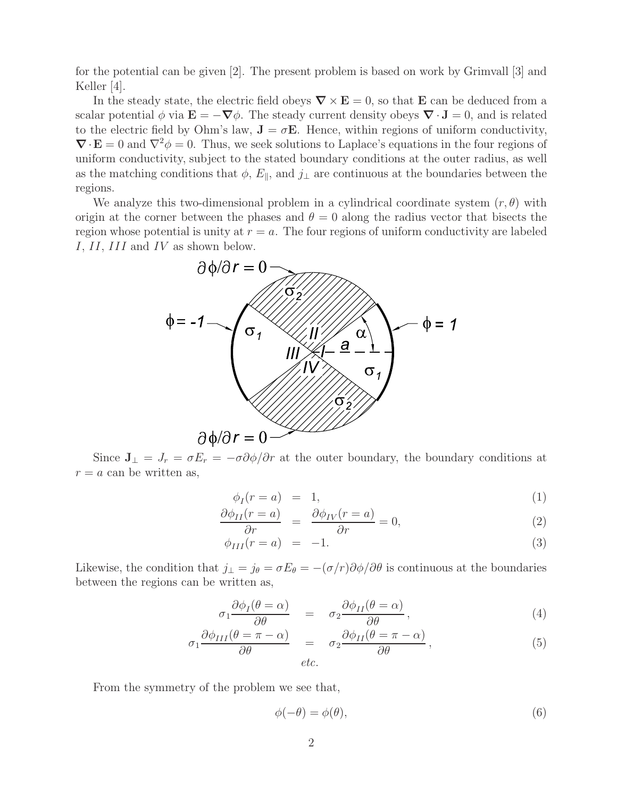for the potential can be given [2]. The present problem is based on work by Grimvall [3] and Keller [4].

In the steady state, the electric field obeys  $\nabla \times \mathbf{E} = 0$ , so that **E** can be deduced from a scalar potential  $\phi$  via  $\mathbf{E} = -\nabla \phi$ . The steady current density obeys  $\nabla \cdot \mathbf{J} = 0$ , and is related to the electric field by Ohm's law,  $\mathbf{J} = \sigma \mathbf{E}$ . Hence, within regions of uniform conductivity,  $\nabla \cdot \mathbf{E} = 0$  and  $\nabla^2 \phi = 0$ . Thus, we seek solutions to Laplace's equations in the four regions of uniform conductivity, subject to the stated boundary conditions at the outer radius, as well as the matching conditions that  $\phi$ ,  $E_{\parallel}$ , and  $j_{\perp}$  are continuous at the boundaries between the regions.

We analyze this two-dimensional problem in a cylindrical coordinate system  $(r, \theta)$  with origin at the corner between the phases and  $\theta = 0$  along the radius vector that bisects the region whose potential is unity at  $r = a$ . The four regions of uniform conductivity are labeled I, II, III and IV as shown below.



Since  $J_{\perp} = J_r = \sigma E_r = -\sigma \partial \phi / \partial r$  at the outer boundary, the boundary conditions at  $r = a$  can be written as,

$$
\phi_I(r=a) = 1,\tag{1}
$$

$$
\frac{\partial \phi_{II}(r=a)}{\partial r} = \frac{\partial \phi_{IV}(r=a)}{\partial r} = 0, \tag{2}
$$

$$
\phi_{III}(r=a) = -1. \tag{3}
$$

Likewise, the condition that  $j_{\perp} = j_{\theta} = \sigma E_{\theta} = -(\sigma/r)\partial \phi/\partial \theta$  is continuous at the boundaries between the regions can be written as,

$$
\sigma_1 \frac{\partial \phi_I(\theta = \alpha)}{\partial \theta} = \sigma_2 \frac{\partial \phi_{II}(\theta = \alpha)}{\partial \theta}, \qquad (4)
$$

$$
\sigma_1 \frac{\partial \phi_{III}(\theta = \pi - \alpha)}{\partial \theta} = \sigma_2 \frac{\partial \phi_{II}(\theta = \pi - \alpha)}{\partial \theta},
$$
\n(5)

From the symmetry of the problem we see that,

$$
\phi(-\theta) = \phi(\theta),\tag{6}
$$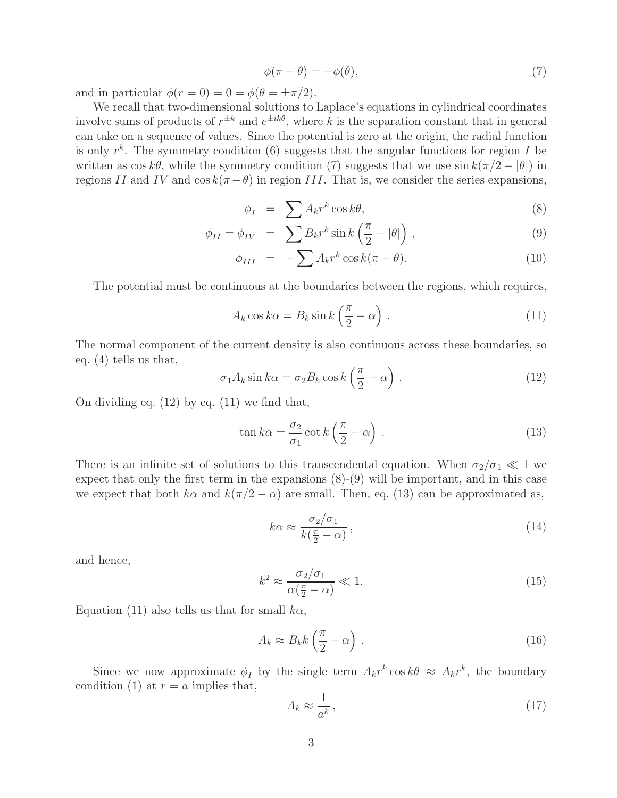$$
\phi(\pi - \theta) = -\phi(\theta),\tag{7}
$$

and in particular  $\phi(r=0) = 0 = \phi(\theta = \pm \pi/2)$ .

We recall that two-dimensional solutions to Laplace's equations in cylindrical coordinates involve sums of products of  $r^{\pm k}$  and  $e^{\pm ik\theta}$ , where k is the separation constant that in general can take on a sequence of values. Since the potential is zero at the origin, the radial function is only  $r^k$ . The symmetry condition (6) suggests that the angular functions for region I be written as  $\cos k\theta$ , while the symmetry condition (7) suggests that we use  $\sin k(\pi/2 - |\theta|)$  in regions II and IV and  $\cos k(\pi - \theta)$  in region III. That is, we consider the series expansions,

$$
\phi_I = \sum A_k r^k \cos k\theta, \tag{8}
$$

$$
\phi_{II} = \phi_{IV} = \sum B_k r^k \sin k \left( \frac{\pi}{2} - |\theta| \right), \qquad (9)
$$

$$
\phi_{III} = -\sum A_k r^k \cos k(\pi - \theta). \tag{10}
$$

The potential must be continuous at the boundaries between the regions, which requires,

$$
A_k \cos k\alpha = B_k \sin k \left(\frac{\pi}{2} - \alpha\right). \tag{11}
$$

The normal component of the current density is also continuous across these boundaries, so eq. (4) tells us that,

$$
\sigma_1 A_k \sin k\alpha = \sigma_2 B_k \cos k \left(\frac{\pi}{2} - \alpha\right). \tag{12}
$$

On dividing eq. (12) by eq. (11) we find that,

$$
\tan k\alpha = \frac{\sigma_2}{\sigma_1} \cot k \left(\frac{\pi}{2} - \alpha\right) \,. \tag{13}
$$

There is an infinite set of solutions to this transcendental equation. When  $\sigma_2/\sigma_1 \ll 1$  we expect that only the first term in the expansions (8)-(9) will be important, and in this case we expect that both k $\alpha$  and  $k(\pi/2 - \alpha)$  are small. Then, eq. (13) can be approximated as,

$$
k\alpha \approx \frac{\sigma_2/\sigma_1}{k(\frac{\pi}{2} - \alpha)},\tag{14}
$$

and hence,

$$
k^2 \approx \frac{\sigma_2/\sigma_1}{\alpha(\frac{\pi}{2} - \alpha)} \ll 1.
$$
\n(15)

Equation (11) also tells us that for small  $k\alpha$ ,

$$
A_k \approx B_k k \left(\frac{\pi}{2} - \alpha\right). \tag{16}
$$

Since we now approximate  $\phi_I$  by the single term  $A_k r^k \cos k\theta \approx A_k r^k$ , the boundary condition (1) at  $r = a$  implies that,

$$
A_k \approx \frac{1}{a^k},\tag{17}
$$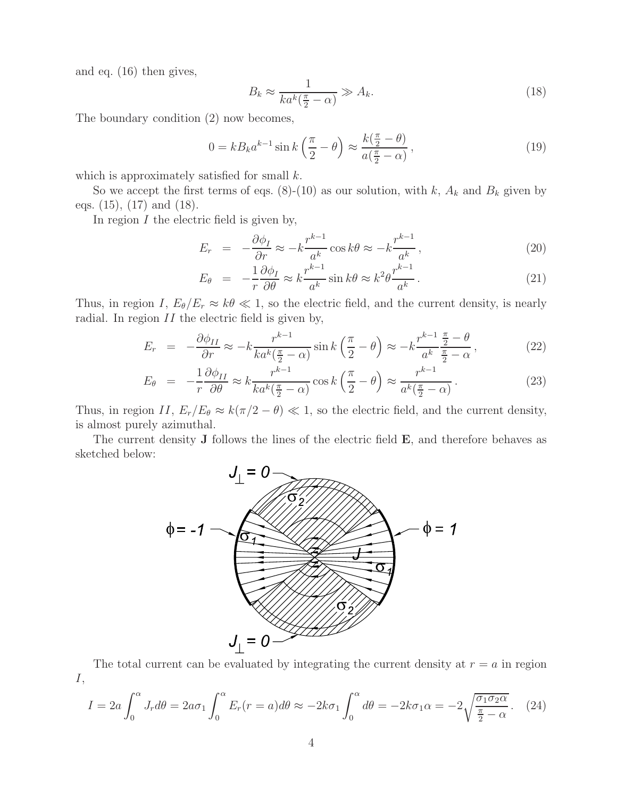and eq. (16) then gives,

$$
B_k \approx \frac{1}{ka^k(\frac{\pi}{2} - \alpha)} \gg A_k. \tag{18}
$$

The boundary condition (2) now becomes,

$$
0 = kB_k a^{k-1} \sin k \left(\frac{\pi}{2} - \theta\right) \approx \frac{k\left(\frac{\pi}{2} - \theta\right)}{a\left(\frac{\pi}{2} - \alpha\right)},\tag{19}
$$

which is approximately satisfied for small  $k$ .

So we accept the first terms of eqs.  $(8)-(10)$  as our solution, with k,  $A_k$  and  $B_k$  given by eqs. (15), (17) and (18).

In region  $I$  the electric field is given by,

$$
E_r = -\frac{\partial \phi_I}{\partial r} \approx -k \frac{r^{k-1}}{a^k} \cos k\theta \approx -k \frac{r^{k-1}}{a^k},\qquad(20)
$$

$$
E_{\theta} = -\frac{1}{r} \frac{\partial \phi_I}{\partial \theta} \approx k \frac{r^{k-1}}{a^k} \sin k\theta \approx k^2 \theta \frac{r^{k-1}}{a^k}.
$$
 (21)

Thus, in region I,  $E_{\theta}/E_r \approx k\theta \ll 1$ , so the electric field, and the current density, is nearly radial. In region  $II$  the electric field is given by,

$$
E_r = -\frac{\partial \phi_{II}}{\partial r} \approx -k \frac{r^{k-1}}{ka^k(\frac{\pi}{2} - \alpha)} \sin k \left(\frac{\pi}{2} - \theta\right) \approx -k \frac{r^{k-1}}{a^k} \frac{\frac{\pi}{2} - \theta}{\frac{\pi}{2} - \alpha},\tag{22}
$$

$$
E_{\theta} = -\frac{1}{r} \frac{\partial \phi_{II}}{\partial \theta} \approx k \frac{r^{k-1}}{k a^k (\frac{\pi}{2} - \alpha)} \cos k \left(\frac{\pi}{2} - \theta\right) \approx \frac{r^{k-1}}{a^k (\frac{\pi}{2} - \alpha)}.
$$
 (23)

Thus, in region II,  $E_r/E_\theta \approx k(\pi/2 - \theta) \ll 1$ , so the electric field, and the current density, is almost purely azimuthal.

The current density **J** follows the lines of the electric field **E**, and therefore behaves as sketched below:



The total current can be evaluated by integrating the current density at  $r = a$  in region I,

$$
I = 2a \int_0^{\alpha} J_r d\theta = 2a\sigma_1 \int_0^{\alpha} E_r(r=a) d\theta \approx -2k\sigma_1 \int_0^{\alpha} d\theta = -2k\sigma_1 \alpha = -2\sqrt{\frac{\sigma_1 \sigma_2 \alpha}{\frac{\pi}{2} - \alpha}}.
$$
 (24)